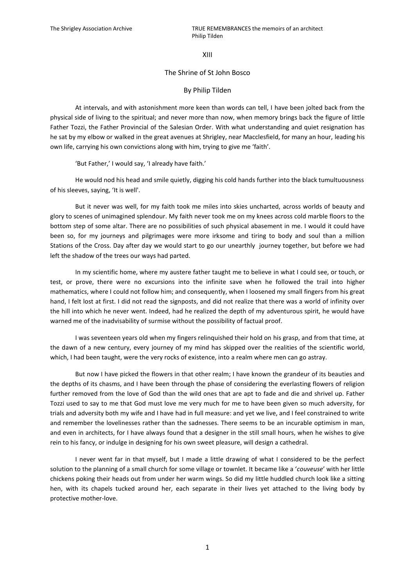XIII

## The Shrine of St John Bosco

## By Philip Tilden

At intervals, and with astonishment more keen than words can tell, I have been jolted back from the physical side of living to the spiritual; and never more than now, when memory brings back the figure of little Father Tozzi, the Father Provincial of the Salesian Order. With what understanding and quiet resignation has he sat by my elbow or walked in the great avenues at Shrigley, near Macclesfield, for many an hour, leading his own life, carrying his own convictions along with him, trying to give me 'faith'.

'But Father,' I would say, 'I already have faith.'

He would nod his head and smile quietly, digging his cold hands further into the black tumultuousness of his sleeves, saying, 'It is well'.

But it never was well, for my faith took me miles into skies uncharted, across worlds of beauty and glory to scenes of unimagined splendour. My faith never took me on my knees across cold marble floors to the bottom step of some altar. There are no possibilities of such physical abasement in me. I would it could have been so, for my journeys and pilgrimages were more irksome and tiring to body and soul than a million Stations of the Cross. Day after day we would start to go our unearthly journey together, but before we had left the shadow of the trees our ways had parted.

In my scientific home, where my austere father taught me to believe in what I could see, or touch, or test, or prove, there were no excursions into the infinite save when he followed the trail into higher mathematics, where I could not follow him; and consequently, when I loosened my small fingers from his great hand, I felt lost at first. I did not read the signposts, and did not realize that there was a world of infinity over the hill into which he never went. Indeed, had he realized the depth of my adventurous spirit, he would have warned me of the inadvisability of surmise without the possibility of factual proof.

I was seventeen years old when my fingers relinquished their hold on his grasp, and from that time, at the dawn of a new century, every journey of my mind has skipped over the realities of the scientific world, which, I had been taught, were the very rocks of existence, into a realm where men can go astray.

But now I have picked the flowers in that other realm; I have known the grandeur of its beauties and the depths of its chasms, and I have been through the phase of considering the everlasting flowers of religion further removed from the love of God than the wild ones that are apt to fade and die and shrivel up. Father Tozzi used to say to me that God must love me very much for me to have been given so much adversity, for trials and adversity both my wife and I have had in full measure: and yet we live, and I feel constrained to write and remember the lovelinesses rather than the sadnesses. There seems to be an incurable optimism in man, and even in architects, for I have always found that a designer in the still small hours, when he wishes to give rein to his fancy, or indulge in designing for his own sweet pleasure, will design a cathedral.

I never went far in that myself, but I made a little drawing of what I considered to be the perfect solution to the planning of a small church for some village or townlet. It became like a '*couveuse*' with her little chickens poking their heads out from under her warm wings. So did my little huddled church look like a sitting hen, with its chapels tucked around her, each separate in their lives yet attached to the living body by protective mother-love.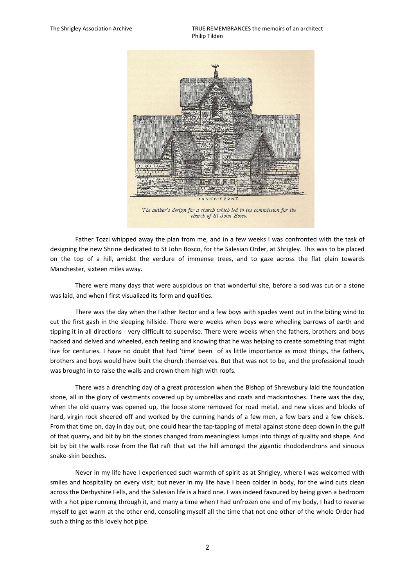The Shrigley Association Archive TRUE REMEMBRANCES the memoirs of an architect Philip Tilden



church of St John Bosco.

Father Tozzi whipped away the plan from me, and in a few weeks I was confronted with the task of designing the new Shrine dedicated to St John Bosco, for the Salesian Order, at Shrigley. This was to be placed on the top of a hill, amidst the verdure of immense trees, and to gaze across the flat plain towards Manchester, sixteen miles away.

There were many days that were auspicious on that wonderful site, before a sod was cut or a stone was laid, and when I first visualized its form and qualities.

There was the day when the Father Rector and a few boys with spades went out in the biting wind to cut the first gash in the sleeping hillside. There were weeks when boys were wheeling barrows of earth and tipping it in all directions - very difficult to supervise. There were weeks when the fathers, brothers and boys hacked and delved and wheeled, each feeling and knowing that he was helping to create something that might live for centuries. I have no doubt that had 'time' been of as little importance as most things, the fathers, brothers and boys would have built the church themselves. But that was not to be, and the professional touch was brought in to raise the walls and crown them high with roofs.

There was a drenching day of a great procession when the Bishop of Shrewsbury laid the foundation stone, all in the glory of vestments covered up by umbrellas and coats and mackintoshes. There was the day, when the old quarry was opened up, the loose stone removed for road metal, and new slices and blocks of hard, virgin rock sheered off and worked by the cunning hands of a few men, a few bars and a few chisels. From that time on, day in day out, one could hear the tap·tapping of metal against stone deep down in the gulf of that quarry, and bit by bit the stones changed from meaningless lumps into things of quality and shape. And bit by bit the walls rose from the flat raft that sat the hill amongst the gigantic rhododendrons and sinuous snake-skin beeches.

Never in my life have I experienced such warmth of spirit as at Shrigley, where I was welcomed with smiles and hospitality on every visit; but never in my life have I been colder in body, for the wind cuts clean across the Derbyshire Fells, and the Salesian life is a hard one. I was indeed favoured by being given a bedroom with a hot pipe running through it, and many a time when I had unfrozen one end of my body, I had to reverse myself to get warm at the other end, consoling myself all the time that not one other of the whole Order had such a thing as this lovely hot pipe.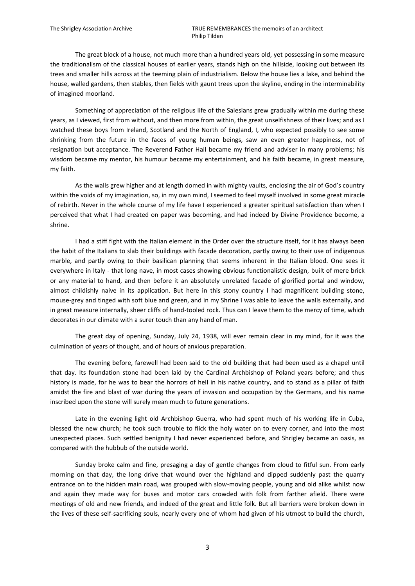The great block of a house, not much more than a hundred years old, yet possessing in some measure the traditionalism of the classical houses of earlier years, stands high on the hillside, looking out between its trees and smaller hills across at the teeming plain of industrialism. Below the house lies a lake, and behind the house, walled gardens, then stables, then fields with gaunt trees upon the skyline, ending in the interminability of imagined moorland.

Something of appreciation of the religious life of the Salesians grew gradually within me during these years, as I viewed, first from without, and then more from within, the great unselfishness of their lives; and as I watched these boys from Ireland, Scotland and the North of England, I, who expected possibly to see some shrinking from the future in the faces of young human beings, saw an even greater happiness, not of resignation but acceptance. The Reverend Father Hall became my friend and adviser in many problems; his wisdom became my mentor, his humour became my entertainment, and his faith became, in great measure, my faith.

As the walls grew higher and at length domed in with mighty vaults, enclosing the air of God's country within the voids of my imagination, so, in my own mind, I seemed to feel myself involved in some great miracle of rebirth. Never in the whole course of my life have I experienced a greater spiritual satisfaction than when I perceived that what I had created on paper was becoming, and had indeed by Divine Providence become, a shrine.

I had a stiff fight with the Italian element in the Order over the structure itself, for it has always been the habit of the Italians to slab their buildings with facade decoration, partly owing to their use of indigenous marble, and partly owing to their basilican planning that seems inherent in the Italian blood. One sees it everywhere in Italy - that long nave, in most cases showing obvious functionalistic design, built of mere brick or any material to hand, and then before it an absolutely unrelated facade of glorified portal and window, almost childishly naive in its application. But here in this stony country I had magnificent building stone, mouse-grey and tinged with soft blue and green, and in my Shrine I was able to leave the walls externally, and in great measure internally, sheer cliffs of hand-tooled rock. Thus can I leave them to the mercy of time, which decorates in our climate with a surer touch than any hand of man.

The great day of opening, Sunday, July 24, 1938, will ever remain clear in my mind, for it was the culmination of years of thought, and of hours of anxious preparation.

The evening before, farewell had been said to the old building that had been used as a chapel until that day. Its foundation stone had been laid by the Cardinal Archbishop of Poland years before; and thus history is made, for he was to bear the horrors of hell in his native country, and to stand as a pillar of faith amidst the fire and blast of war during the years of invasion and occupation by the Germans, and his name inscribed upon the stone will surely mean much to future generations.

Late in the evening light old Archbishop Guerra, who had spent much of his working life in Cuba, blessed the new church; he took such trouble to flick the holy water on to every corner, and into the most unexpected places. Such settled benignity I had never experienced before, and Shrigley became an oasis, as compared with the hubbub of the outside world.

Sunday broke calm and fine, presaging a day of gentle changes from cloud to fitful sun. From early morning on that day, the long drive that wound over the highland and dipped suddenly past the quarry entrance on to the hidden main road, was grouped with slow-moving people, young and old alike whilst now and again they made way for buses and motor cars crowded with folk from farther afield. There were meetings of old and new friends, and indeed of the great and little folk. But all barriers were broken down in the lives of these self-sacrificing souls, nearly every one of whom had given of his utmost to build the church,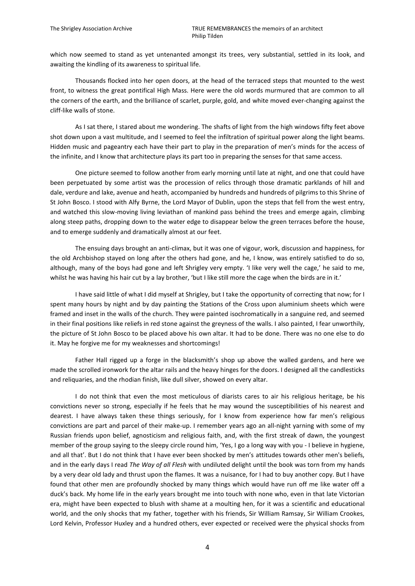which now seemed to stand as yet untenanted amongst its trees, very substantial, settled in its look, and awaiting the kindling of its awareness to spiritual life.

Thousands flocked into her open doors, at the head of the terraced steps that mounted to the west front, to witness the great pontifical High Mass. Here were the old words murmured that are common to all the corners of the earth, and the brilliance of scarlet, purple, gold, and white moved ever-changing against the cliff-like walls of stone.

As I sat there, I stared about me wondering. The shafts of light from the high windows fifty feet above shot down upon a vast multitude, and I seemed to feel the infiltration of spiritual power along the light beams. Hidden music and pageantry each have their part to play in the preparation of men's minds for the access of the infinite, and I know that architecture plays its part too in preparing the senses for that same access.

One picture seemed to follow another from early morning until late at night, and one that could have been perpetuated by some artist was the procession of relics through those dramatic parklands of hill and dale, verdure and lake, avenue and heath, accompanied by hundreds and hundreds of pilgrims to this Shrine of St John Bosco. I stood with Alfy Byrne, the Lord Mayor of Dublin, upon the steps that fell from the west entry, and watched this slow-moving living leviathan of mankind pass behind the trees and emerge again, climbing along steep paths, dropping down to the water edge to disappear below the green terraces before the house, and to emerge suddenly and dramatically almost at our feet.

The ensuing days brought an anti-climax, but it was one of vigour, work, discussion and happiness, for the old Archbishop stayed on long after the others had gone, and he, I know, was entirely satisfied to do so, although, many of the boys had gone and left Shrigley very empty. 'I like very well the cage,' he said to me, whilst he was having his hair cut by a lay brother, 'but I like still more the cage when the birds are in it.'

I have said little of what I did myself at Shrigley, but I take the opportunity of correcting that now; for I spent many hours by night and by day painting the Stations of the Cross upon aluminium sheets which were framed and inset in the walls of the church. They were painted isochromatically in a sanguine red, and seemed in their final positions like reliefs in red stone against the greyness of the walls. I also painted, I fear unworthily, the picture of St John Bosco to be placed above his own altar. It had to be done. There was no one else to do it. May he forgive me for my weaknesses and shortcomings!

Father Hall rigged up a forge in the blacksmith's shop up above the walled gardens, and here we made the scrolled ironwork for the altar rails and the heavy hinges for the doors. I designed all the candlesticks and reliquaries, and the rhodian finish, like dull silver, showed on every altar.

I do not think that even the most meticulous of diarists cares to air his religious heritage, be his convictions never so strong, especially if he feels that he may wound the susceptibilities of his nearest and dearest. I have always taken these things seriously, for I know from experience how far men's religious convictions are part and parcel of their make-up. I remember years ago an all-night yarning with some of my Russian friends upon belief, agnosticism and religious faith, and, with the first streak of dawn, the youngest member of the group saying to the sleepy circle round him, 'Yes, I go a long way with you - I believe in hygiene, and all that'. But I do not think that I have ever been shocked by men's attitudes towards other men's beliefs, and in the early days I read *The Way of all Flesh* with undiluted delight until the book was torn from my hands by a very dear old lady and thrust upon the flames. It was a nuisance, for I had to buy another copy. But I have found that other men are profoundly shocked by many things which would have run off me like water off a duck's back. My home life in the early years brought me into touch with none who, even in that late Victorian era, might have been expected to blush with shame at a moulting hen, for it was a scientific and educational world, and the only shocks that my father, together with his friends, Sir William Ramsay, Sir William Crookes, Lord Kelvin, Professor Huxley and a hundred others, ever expected or received were the physical shocks from